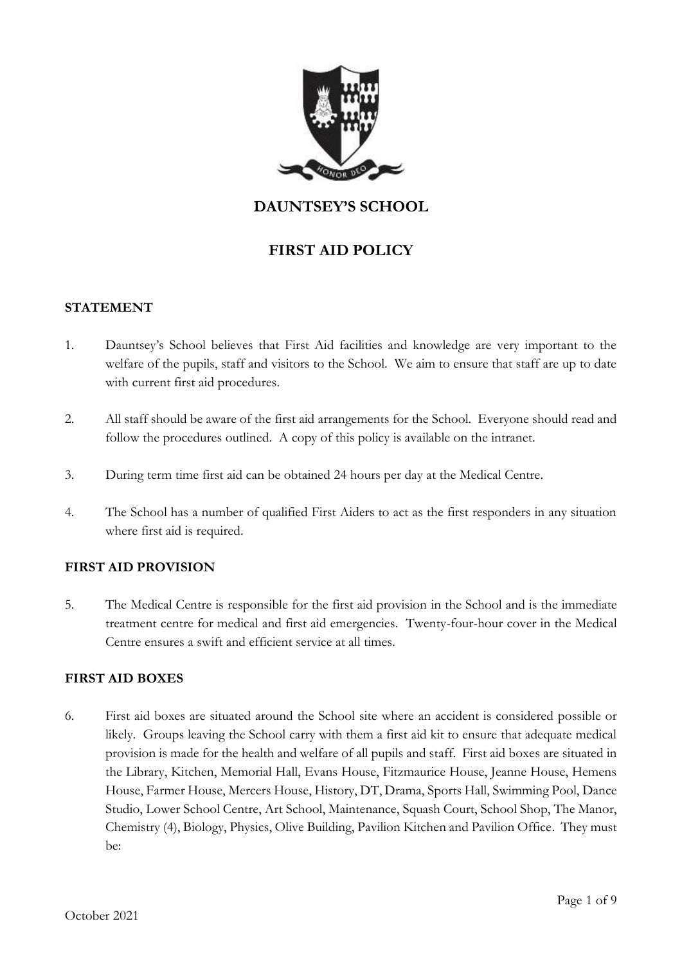

# **DAUNTSEY'S SCHOOL**

# **FIRST AID POLICY**

# **STATEMENT**

- 1. Dauntsey's School believes that First Aid facilities and knowledge are very important to the welfare of the pupils, staff and visitors to the School. We aim to ensure that staff are up to date with current first aid procedures.
- 2. All staff should be aware of the first aid arrangements for the School. Everyone should read and follow the procedures outlined. A copy of this policy is available on the intranet.
- 3. During term time first aid can be obtained 24 hours per day at the Medical Centre.
- 4. The School has a number of qualified First Aiders to act as the first responders in any situation where first aid is required.

# **FIRST AID PROVISION**

5. The Medical Centre is responsible for the first aid provision in the School and is the immediate treatment centre for medical and first aid emergencies. Twenty-four-hour cover in the Medical Centre ensures a swift and efficient service at all times.

#### **FIRST AID BOXES**

6. First aid boxes are situated around the School site where an accident is considered possible or likely. Groups leaving the School carry with them a first aid kit to ensure that adequate medical provision is made for the health and welfare of all pupils and staff. First aid boxes are situated in the Library, Kitchen, Memorial Hall, Evans House, Fitzmaurice House, Jeanne House, Hemens House, Farmer House, Mercers House, History, DT, Drama, Sports Hall, Swimming Pool, Dance Studio, Lower School Centre, Art School, Maintenance, Squash Court, School Shop, The Manor, Chemistry (4), Biology, Physics, Olive Building, Pavilion Kitchen and Pavilion Office. They must be: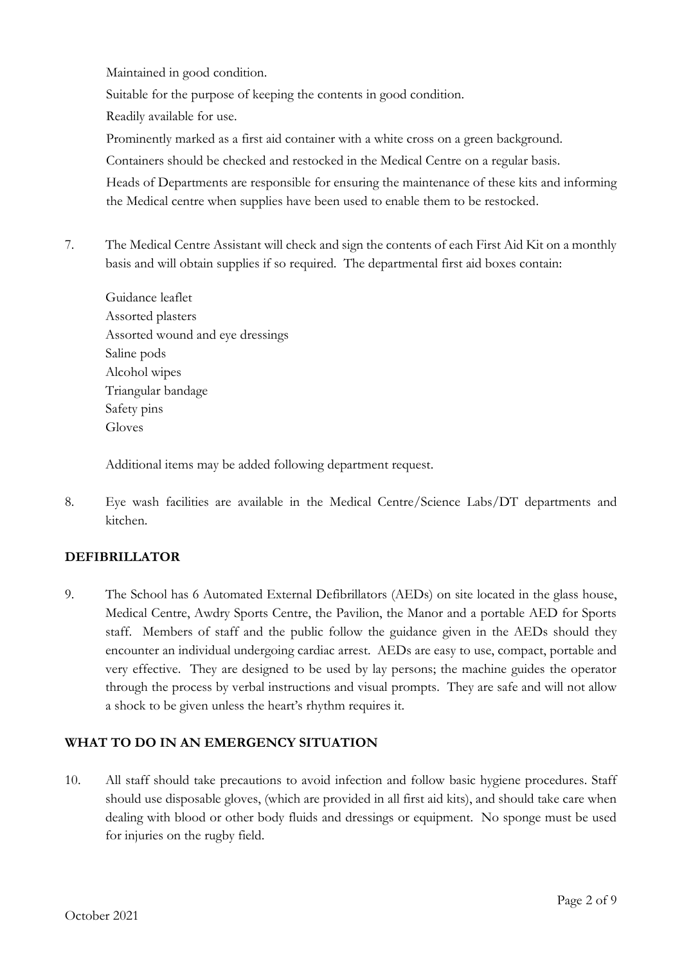Maintained in good condition.

Suitable for the purpose of keeping the contents in good condition.

Readily available for use.

Prominently marked as a first aid container with a white cross on a green background.

Containers should be checked and restocked in the Medical Centre on a regular basis.

Heads of Departments are responsible for ensuring the maintenance of these kits and informing the Medical centre when supplies have been used to enable them to be restocked.

7. The Medical Centre Assistant will check and sign the contents of each First Aid Kit on a monthly basis and will obtain supplies if so required. The departmental first aid boxes contain:

Guidance leaflet Assorted plasters Assorted wound and eye dressings Saline pods Alcohol wipes Triangular bandage Safety pins Gloves

Additional items may be added following department request.

8. Eye wash facilities are available in the Medical Centre/Science Labs/DT departments and kitchen.

# **DEFIBRILLATOR**

9. The School has 6 Automated External Defibrillators (AEDs) on site located in the glass house, Medical Centre, Awdry Sports Centre, the Pavilion, the Manor and a portable AED for Sports staff. Members of staff and the public follow the guidance given in the AEDs should they encounter an individual undergoing cardiac arrest. AEDs are easy to use, compact, portable and very effective. They are designed to be used by lay persons; the machine guides the operator through the process by verbal instructions and visual prompts. They are safe and will not allow a shock to be given unless the heart's rhythm requires it.

# **WHAT TO DO IN AN EMERGENCY SITUATION**

10. All staff should take precautions to avoid infection and follow basic hygiene procedures. Staff should use disposable gloves, (which are provided in all first aid kits), and should take care when dealing with blood or other body fluids and dressings or equipment. No sponge must be used for injuries on the rugby field.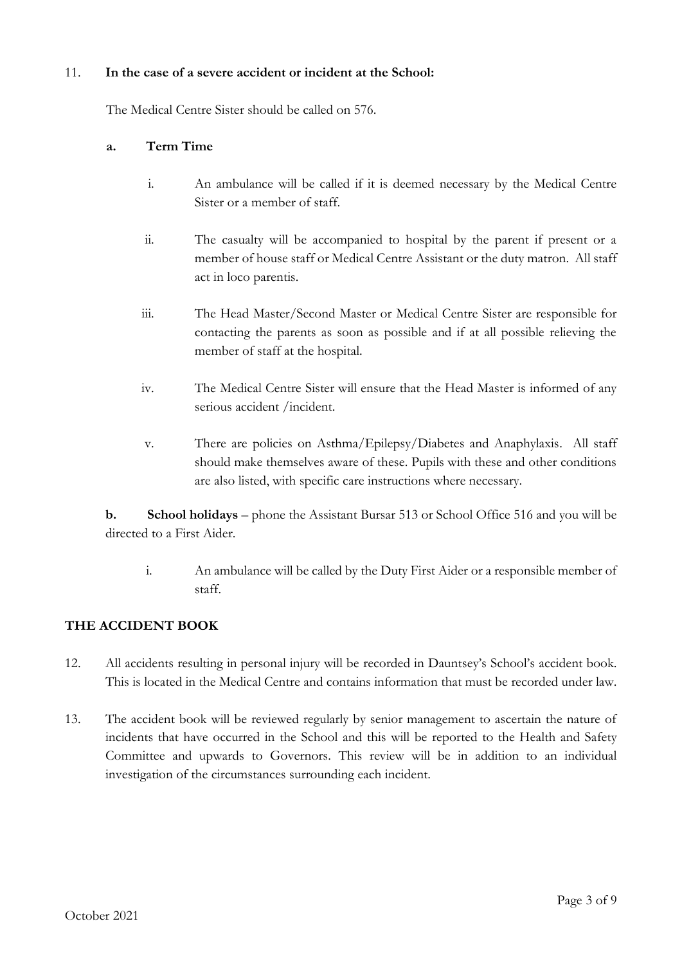# 11. **In the case of a severe accident or incident at the School:**

The Medical Centre Sister should be called on 576.

### **a. Term Time**

- i. An ambulance will be called if it is deemed necessary by the Medical Centre Sister or a member of staff.
- ii. The casualty will be accompanied to hospital by the parent if present or a member of house staff or Medical Centre Assistant or the duty matron. All staff act in loco parentis.
- iii. The Head Master/Second Master or Medical Centre Sister are responsible for contacting the parents as soon as possible and if at all possible relieving the member of staff at the hospital.
- iv. The Medical Centre Sister will ensure that the Head Master is informed of any serious accident /incident.
- v. There are policies on Asthma/Epilepsy/Diabetes and Anaphylaxis. All staff should make themselves aware of these. Pupils with these and other conditions are also listed, with specific care instructions where necessary.

**b. School holidays** – phone the Assistant Bursar 513 or School Office 516 and you will be directed to a First Aider.

i. An ambulance will be called by the Duty First Aider or a responsible member of staff.

# **THE ACCIDENT BOOK**

- 12. All accidents resulting in personal injury will be recorded in Dauntsey's School's accident book. This is located in the Medical Centre and contains information that must be recorded under law.
- 13. The accident book will be reviewed regularly by senior management to ascertain the nature of incidents that have occurred in the School and this will be reported to the Health and Safety Committee and upwards to Governors. This review will be in addition to an individual investigation of the circumstances surrounding each incident.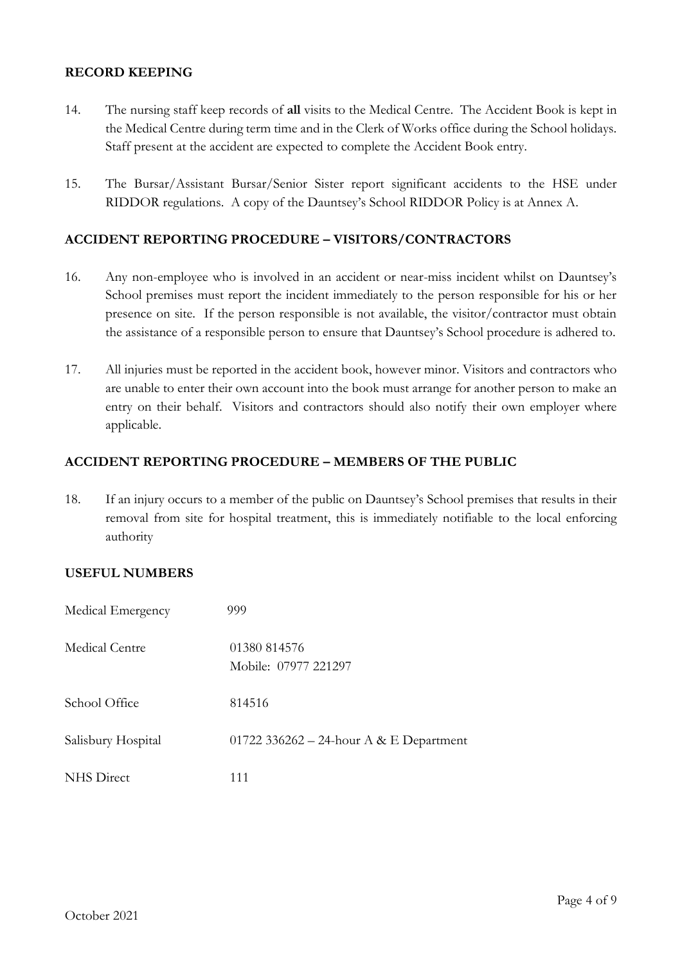#### **RECORD KEEPING**

- 14. The nursing staff keep records of **all** visits to the Medical Centre. The Accident Book is kept in the Medical Centre during term time and in the Clerk of Works office during the School holidays. Staff present at the accident are expected to complete the Accident Book entry.
- 15. The Bursar/Assistant Bursar/Senior Sister report significant accidents to the HSE under RIDDOR regulations. A copy of the Dauntsey's School RIDDOR Policy is at Annex A.

# **ACCIDENT REPORTING PROCEDURE – VISITORS/CONTRACTORS**

- 16. Any non-employee who is involved in an accident or near-miss incident whilst on Dauntsey's School premises must report the incident immediately to the person responsible for his or her presence on site. If the person responsible is not available, the visitor/contractor must obtain the assistance of a responsible person to ensure that Dauntsey's School procedure is adhered to.
- 17. All injuries must be reported in the accident book, however minor. Visitors and contractors who are unable to enter their own account into the book must arrange for another person to make an entry on their behalf. Visitors and contractors should also notify their own employer where applicable.

#### **ACCIDENT REPORTING PROCEDURE – MEMBERS OF THE PUBLIC**

18. If an injury occurs to a member of the public on Dauntsey's School premises that results in their removal from site for hospital treatment, this is immediately notifiable to the local enforcing authority

#### **USEFUL NUMBERS**

| Medical Emergency  | 999                                     |
|--------------------|-----------------------------------------|
| Medical Centre     | 01380 814576<br>Mobile: 07977 221297    |
| School Office      | 814516                                  |
| Salisbury Hospital | 01722 336262 – 24-hour A & E Department |
| NHS Direct         | 111                                     |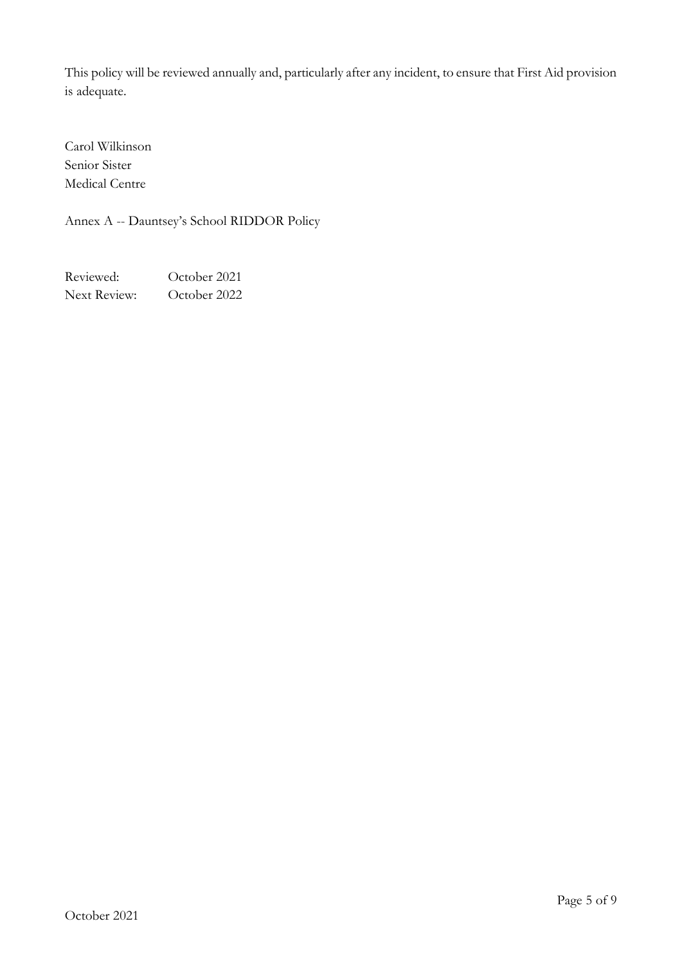This policy will be reviewed annually and, particularly after any incident, to ensure that First Aid provision is adequate.

Carol Wilkinson Senior Sister Medical Centre

Annex A -- Dauntsey's School RIDDOR Policy

Reviewed: October 2021 Next Review: October 2022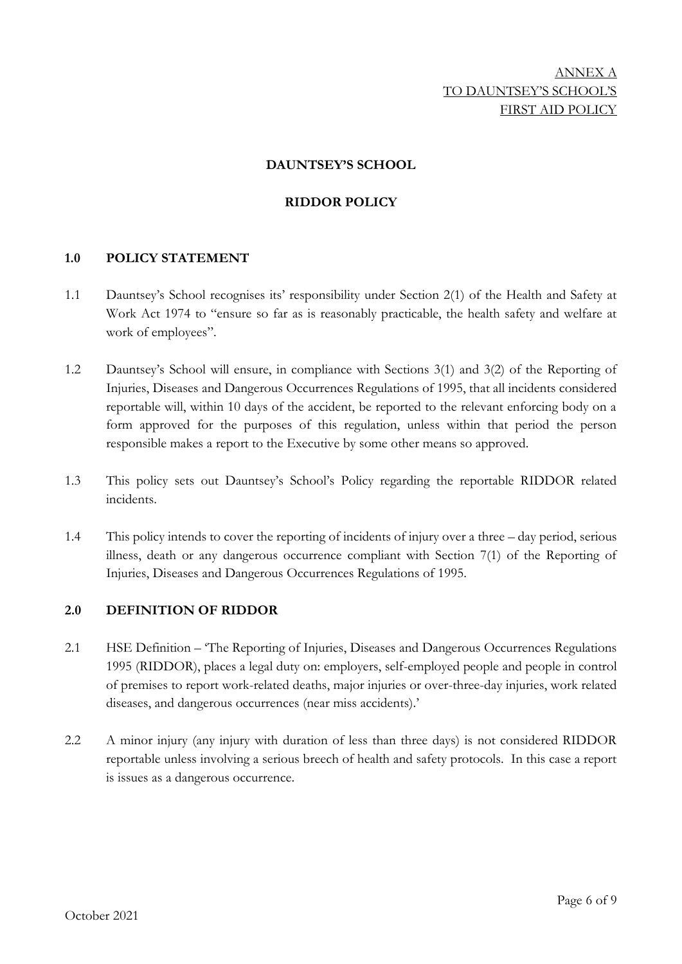# **DAUNTSEY'S SCHOOL**

# **RIDDOR POLICY**

#### **1.0 POLICY STATEMENT**

- 1.1 Dauntsey's School recognises its' responsibility under Section 2(1) of the Health and Safety at Work Act 1974 to "ensure so far as is reasonably practicable, the health safety and welfare at work of employees".
- 1.2 Dauntsey's School will ensure, in compliance with Sections 3(1) and 3(2) of the Reporting of Injuries, Diseases and Dangerous Occurrences Regulations of 1995, that all incidents considered reportable will, within 10 days of the accident, be reported to the relevant enforcing body on a form approved for the purposes of this regulation, unless within that period the person responsible makes a report to the Executive by some other means so approved.
- 1.3 This policy sets out Dauntsey's School's Policy regarding the reportable RIDDOR related incidents.
- 1.4 This policy intends to cover the reporting of incidents of injury over a three day period, serious illness, death or any dangerous occurrence compliant with Section 7(1) of the Reporting of Injuries, Diseases and Dangerous Occurrences Regulations of 1995.

#### **2.0 DEFINITION OF RIDDOR**

- 2.1 HSE Definition 'The Reporting of Injuries, Diseases and Dangerous Occurrences Regulations 1995 (RIDDOR), places a legal duty on: employers, self-employed people and people in control of premises to report work-related deaths, major injuries or over-three-day injuries, work related diseases, and dangerous occurrences (near miss accidents).'
- 2.2 A minor injury (any injury with duration of less than three days) is not considered RIDDOR reportable unless involving a serious breech of health and safety protocols. In this case a report is issues as a dangerous occurrence.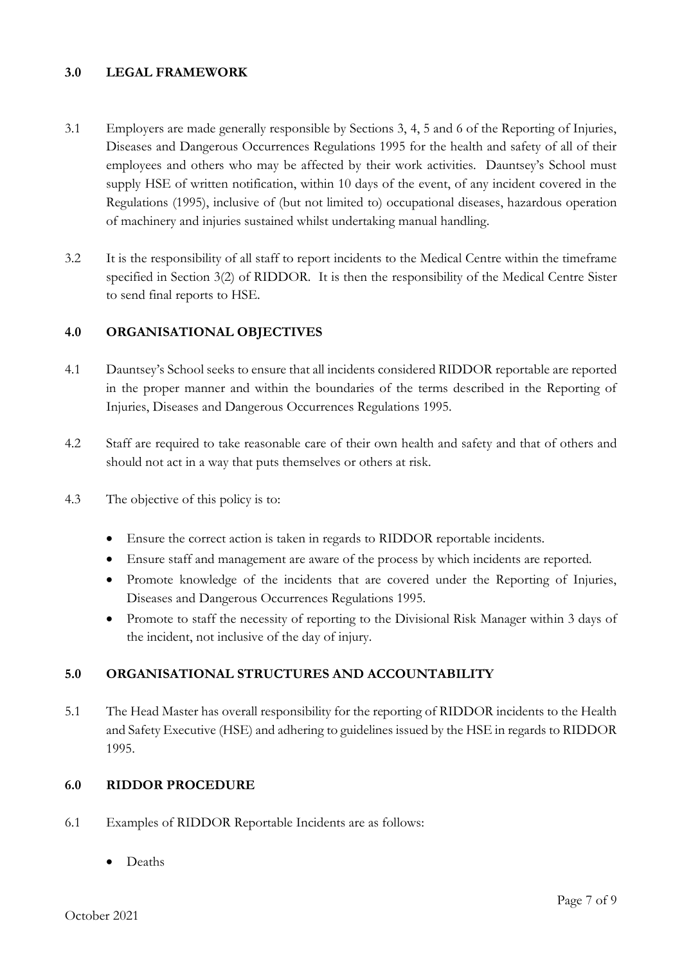# **3.0 LEGAL FRAMEWORK**

- 3.1 Employers are made generally responsible by Sections 3, 4, 5 and 6 of the Reporting of Injuries, Diseases and Dangerous Occurrences Regulations 1995 for the health and safety of all of their employees and others who may be affected by their work activities. Dauntsey's School must supply HSE of written notification, within 10 days of the event, of any incident covered in the Regulations (1995), inclusive of (but not limited to) occupational diseases, hazardous operation of machinery and injuries sustained whilst undertaking manual handling.
- 3.2 It is the responsibility of all staff to report incidents to the Medical Centre within the timeframe specified in Section 3(2) of RIDDOR. It is then the responsibility of the Medical Centre Sister to send final reports to HSE.

# **4.0 ORGANISATIONAL OBJECTIVES**

- 4.1 Dauntsey's School seeks to ensure that all incidents considered RIDDOR reportable are reported in the proper manner and within the boundaries of the terms described in the Reporting of Injuries, Diseases and Dangerous Occurrences Regulations 1995.
- 4.2 Staff are required to take reasonable care of their own health and safety and that of others and should not act in a way that puts themselves or others at risk.
- 4.3 The objective of this policy is to:
	- Ensure the correct action is taken in regards to RIDDOR reportable incidents.
	- Ensure staff and management are aware of the process by which incidents are reported.
	- Promote knowledge of the incidents that are covered under the Reporting of Injuries, Diseases and Dangerous Occurrences Regulations 1995.
	- Promote to staff the necessity of reporting to the Divisional Risk Manager within 3 days of the incident, not inclusive of the day of injury.

#### **5.0 ORGANISATIONAL STRUCTURES AND ACCOUNTABILITY**

5.1 The Head Master has overall responsibility for the reporting of RIDDOR incidents to the Health and Safety Executive (HSE) and adhering to guidelines issued by the HSE in regards to RIDDOR 1995.

#### **6.0 RIDDOR PROCEDURE**

- 6.1 Examples of RIDDOR Reportable Incidents are as follows:
	- Deaths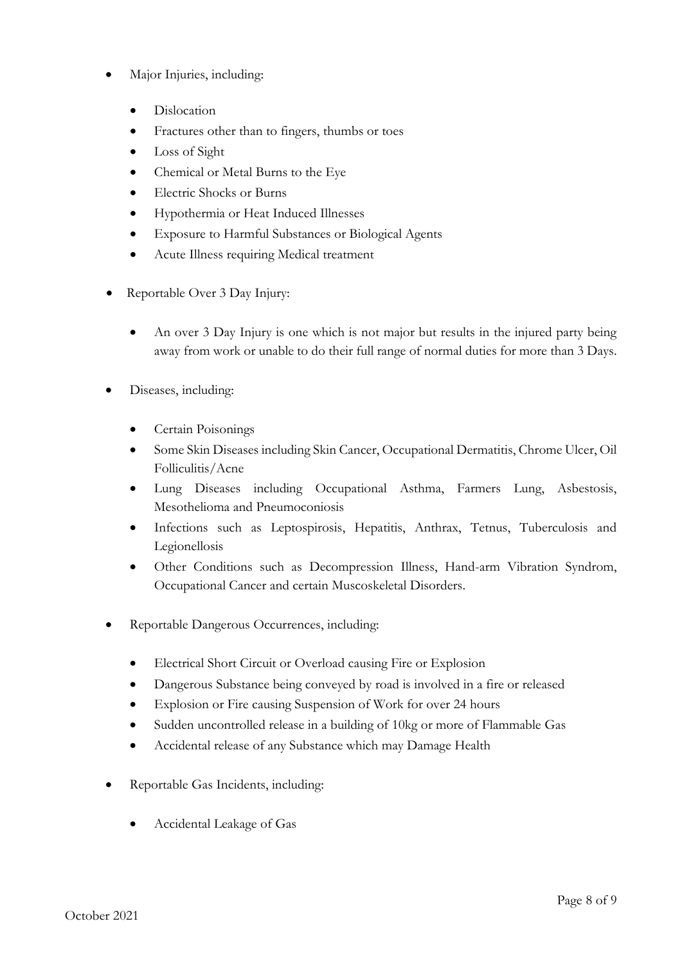- Major Injuries, including:
	- Dislocation
	- Fractures other than to fingers, thumbs or toes
	- Loss of Sight
	- Chemical or Metal Burns to the Eye
	- Electric Shocks or Burns
	- Hypothermia or Heat Induced Illnesses
	- Exposure to Harmful Substances or Biological Agents
	- Acute Illness requiring Medical treatment
- Reportable Over 3 Day Injury:
	- An over 3 Day Injury is one which is not major but results in the injured party being away from work or unable to do their full range of normal duties for more than 3 Days.
- Diseases, including:
	- Certain Poisonings
	- Some Skin Diseases including Skin Cancer, Occupational Dermatitis, Chrome Ulcer, Oil Folliculitis/Acne
	- Lung Diseases including Occupational Asthma, Farmers Lung, Asbestosis, Mesothelioma and Pneumoconiosis
	- Infections such as Leptospirosis, Hepatitis, Anthrax, Tetnus, Tuberculosis and Legionellosis
	- Other Conditions such as Decompression Illness, Hand-arm Vibration Syndrom, Occupational Cancer and certain Muscoskeletal Disorders.
- Reportable Dangerous Occurrences, including:
	- Electrical Short Circuit or Overload causing Fire or Explosion
	- Dangerous Substance being conveyed by road is involved in a fire or released
	- Explosion or Fire causing Suspension of Work for over 24 hours
	- Sudden uncontrolled release in a building of 10kg or more of Flammable Gas
	- Accidental release of any Substance which may Damage Health
- Reportable Gas Incidents, including:
	- Accidental Leakage of Gas